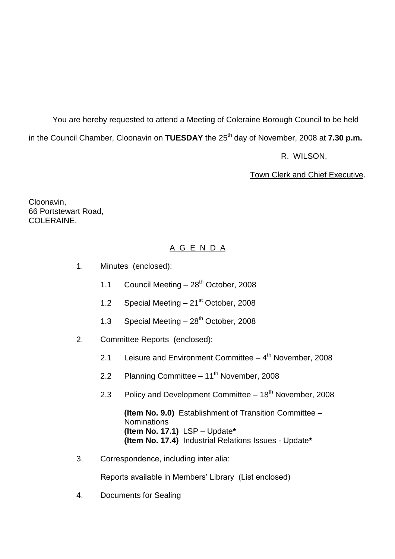You are hereby requested to attend a Meeting of Coleraine Borough Council to be held in the Council Chamber, Cloonavin on **TUESDAY** the 25<sup>th</sup> day of November, 2008 at **7.30 p.m.** 

R. WILSON,

Town Clerk and Chief Executive.

Cloonavin, 66 Portstewart Road, COLERAINE.

# A G E N D A

- 1. Minutes (enclosed):
	- 1.1 Council Meeting  $-28<sup>th</sup>$  October, 2008
	- 1.2 Special Meeting  $-21<sup>st</sup>$  October, 2008
	- 1.3 Special Meeting  $-28^{th}$  October, 2008
- 2. Committee Reports (enclosed):
	- 2.1 Leisure and Environment Committee 4<sup>th</sup> November, 2008
	- 2.2 Planning Committee 11<sup>th</sup> November, 2008
	- 2.3 Policy and Development Committee  $-18<sup>th</sup>$  November, 2008

**(Item No. 9.0)** Establishment of Transition Committee – **Nominations (Item No. 17.1)** LSP –Update**\* (Item No. 17.4)** Industrial Relations Issues - Update**\***

3. Correspondence, including inter alia:

Reports available in Members' Library (List enclosed)

4. Documents for Sealing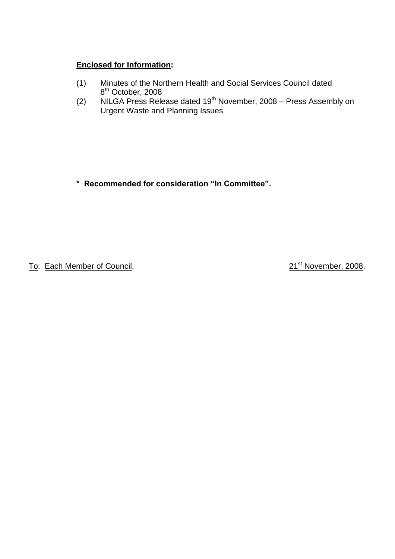# **Enclosed for Information:**

- (1) Minutes of the Northern Health and Social Services Council dated 8<sup>th</sup> October, 2008
- (2) NILGA Press Release dated 19<sup>th</sup> November, 2008 Press Assembly on Urgent Waste and Planning Issues

**\*Recommendedforconsideration"InCommittee".**

To: Each Member of Council. 2008. To: Each Member, 2008.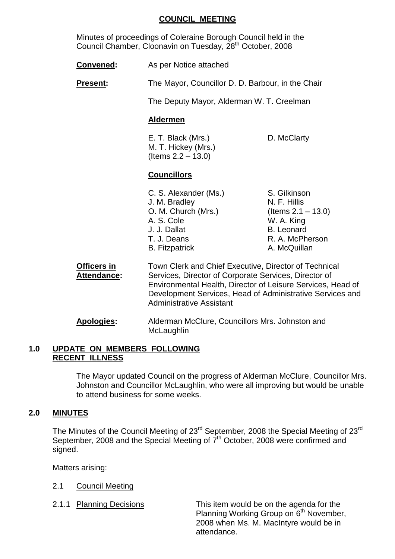#### **COUNCIL MEETING**

Minutes of proceedings of Coleraine Borough Council held in the Council Chamber, Cloonavin on Tuesday, 28<sup>th</sup> October, 2008

**Convened:** As per Notice attached

**Present:** The Mayor, Councillor D. D. Barbour, in the Chair

The Deputy Mayor, Alderman W. T. Creelman

#### **Aldermen**

E. T. Black (Mrs.) D. McClarty M. T. Hickey (Mrs.)  $($  ltems  $2.2 - 13.0)$ 

#### **Councillors**

C. S. Alexander (Ms.) S. Gilkinson J. M. Bradley N. F. Hillis O. M. Church (Mrs.) (Items 2.1 –13.0) A. S. Cole W. A. King J. J. Dallat B. Leonard T. J. Deans R. A. McPherson B. Fitzpatrick A. McQuillan

- **Officers in Town Clerk and Chief Executive, Director of Technical Attendance:** Services, Director of Corporate Services, Director of Environmental Health, Director of Leisure Services, Head of Development Services, Head of Administrative Services and Administrative Assistant
- **Apologies:** Alderman McClure, Councillors Mrs. Johnston and **McLaughlin**

#### **1.0 UPDATE ON MEMBERS FOLLOWING RECENT ILLNESS**

The Mayor updated Council on the progress of Alderman McClure, Councillor Mrs. Johnston and Councillor McLaughlin, who were all improving but would be unable to attend business for some weeks.

#### **2.0 MINUTES**

The Minutes of the Council Meeting of 23<sup>rd</sup> September, 2008 the Special Meeting of 23<sup>rd</sup> September, 2008 and the Special Meeting of 7<sup>th</sup> October, 2008 were confirmed and signed.

Matters arising:

- 2.1 Council Meeting
- 

2.1.1 Planning Decisions This item would be on the agenda for the Planning Working Group on 6<sup>th</sup> November, 2008 when Ms. M. MacIntyre would be in attendance.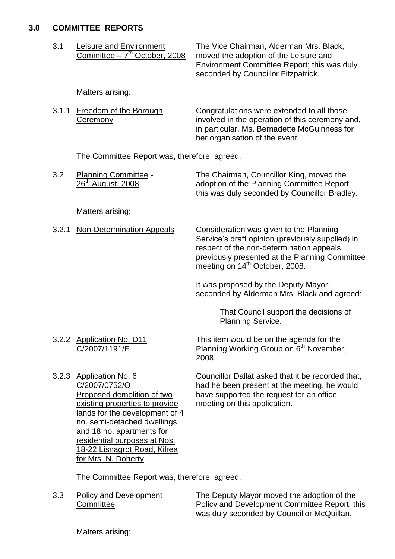#### **3.0 COMMITTEE REPORTS**

| 3.1<br>Leisure and Environment<br>Committee $-7th$ October, 2008 | The Vice Chairman, Alderman Mrs. Black,<br>moved the adoption of the Leisure and<br>Environment Committee Report; this was duly<br>seconded by Councillor Fitzpatrick. |
|------------------------------------------------------------------|------------------------------------------------------------------------------------------------------------------------------------------------------------------------|
|------------------------------------------------------------------|------------------------------------------------------------------------------------------------------------------------------------------------------------------------|

Matters arising:

| 3.1.1 Freedom of the Borough | Congratulations were extended to all those      |
|------------------------------|-------------------------------------------------|
| Ceremony                     | involved in the operation of this ceremony and, |
|                              | in particular, Ms. Bernadette McGuinness for    |
|                              | her organisation of the event.                  |

The Committee Report was, therefore, agreed.

| 3.2 | <b>Planning Committee -</b>   | The Chairman, Councillor King, moved the      |
|-----|-------------------------------|-----------------------------------------------|
|     | 26 <sup>th</sup> August, 2008 | adoption of the Planning Committee Report;    |
|     |                               | this was duly seconded by Councillor Bradley. |

Matters arising:

3.2.1 Non-Determination Appeals Consideration was given to the Planning Service's draft opinion (previously supplied) in respect of the non-determination appeals previously presented at the Planning Committee meeting on  $14<sup>th</sup>$  October, 2008.

> It was proposed by the Deputy Mayor, seconded by Alderman Mrs. Black and agreed:

> > That Council support the decisions of Planning Service.

3.2.2 Application No. D11 This item would be on the agenda for the C/2007/1191/F Planning Working Group on 6<sup>th</sup> November, 2008.

existing properties to provide meeting on this application. lands for the development of 4 no. semi-detached dwellings and 18 no. apartments for residential purposes at Nos. 18-22 Lisnagrot Road, Kilrea for Mrs. N. Doherty

3.2.3 Application No. 6 Councillor Dallat asked that it be recorded that, C/2007/0752/O had he been present at the meeting, he would Proposed demolition of two have supported the request for an office

The Committee Report was, therefore, agreed.

3.3 Policy and Development The Deputy Mayor moved the adoption of the Committee **Committee** Policy and Development Committee Report; this was duly seconded by Councillor McQuillan.

Matters arising: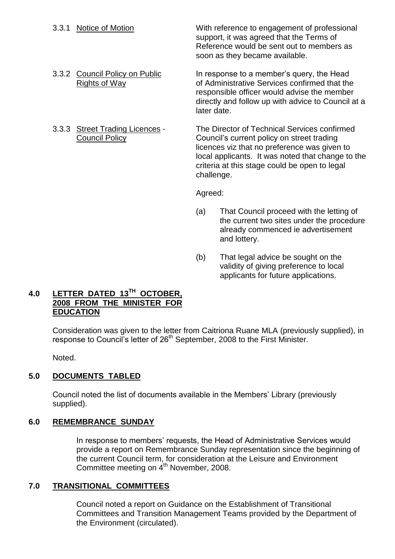3.3.1 Notice of Motion With reference to engagement of professional support, it was agreed that the Terms of Reference would be sent out to members as soon as they became available.

3.3.2 Council Policy on Public In response to a member's query, the Head Rights of Way of Administrative Services confirmed that the responsible officer would advise the member directly and follow up with advice to Council at a later date.

3.3.3 Street Trading Licences - The Director of Technical Services confirmed Council Policy Council's current policy on street trading licences viz that no preference was given to local applicants. It was noted that change to the criteria at this stage could be open to legal challenge.

Agreed:

- (a) That Council proceed with the letting of the current two sites under the procedure already commenced ie advertisement and lottery.
- (b) That legal advice be sought on the validity of giving preference to local applicants for future applications.

# **4.0 LETTER DATED 13TH OCTOBER, 2008 FROM THE MINISTER FOR EDUCATION**

Consideration was given to the letter from Caitriona Ruane MLA (previously supplied), in response to Council's letter of 26<sup>th</sup> September, 2008 to the First Minister.

Noted.

# **5.0 DOCUMENTS TABLED**

Council noted the list of documents available in the Members' Library (previously supplied).

# **6.0 REMEMBRANCE SUNDAY**

In response to members' requests, the Head of Administrative Services would provide a report on Remembrance Sunday representation since the beginning of the current Council term, for consideration at the Leisure and Environment Committee meeting on  $4<sup>th</sup>$  November, 2008.

# **7.0 TRANSITIONAL COMMITTEES**

Council noted a report on Guidance on the Establishment of Transitional Committees and Transition Management Teams provided by the Department of the Environment (circulated).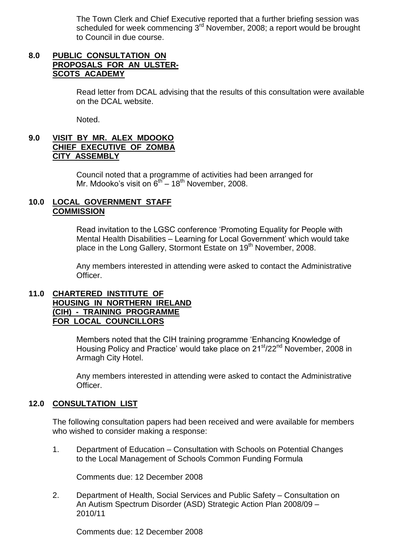The Town Clerk and Chief Executive reported that a further briefing session was scheduled for week commencing 3<sup>rd</sup> November, 2008; a report would be brought to Council in due course.

## **8.0 PUBLIC CONSULTATION ON PROPOSALS FOR AN ULSTER-SCOTS ACADEMY**

Read letter from DCAL advising that the results of this consultation were available on the DCAL website.

Noted.

## **9.0 VISIT BY MR. ALEX MDOOKO CHIEF EXECUTIVE OF ZOMBA CITY ASSEMBLY**

Council noted that a programme of activities had been arranged for Mr. Mdooko's visit on  $6^{th}$  – 18<sup>th</sup> November, 2008.

#### **10.0 LOCAL GOVERNMENT STAFF COMMISSION**

Read invitation to the LGSC conference 'Promoting Equality for People with Mental Health Disabilities – Learning for Local Government' which would take place in the Long Gallery, Stormont Estate on 19<sup>th</sup> November, 2008.

Any members interested in attending were asked to contact the Administrative Officer.

#### **11.0 CHARTERED INSTITUTE OF HOUSING IN NORTHERN IRELAND (CIH) - TRAINING PROGRAMME FOR LOCAL COUNCILLORS**

Members noted that the CIH training programme 'Enhancing Knowledge of Housing Policy and Practice' would take place on 21<sup>st</sup>/22<sup>nd</sup> November, 2008 in Armagh City Hotel.

Any members interested in attending were asked to contact the Administrative Officer.

# **12.0 CONSULTATION LIST**

The following consultation papers had been received and were available for members who wished to consider making a response:

1. Department of Education –Consultation with Schools on Potential Changes to the Local Management of Schools Common Funding Formula

Comments due: 12 December 2008

2. Department of Health, Social Services and Public Safety –Consultation on An Autism Spectrum Disorder (ASD) Strategic Action Plan 2008/09 – 2010/11

Comments due: 12 December 2008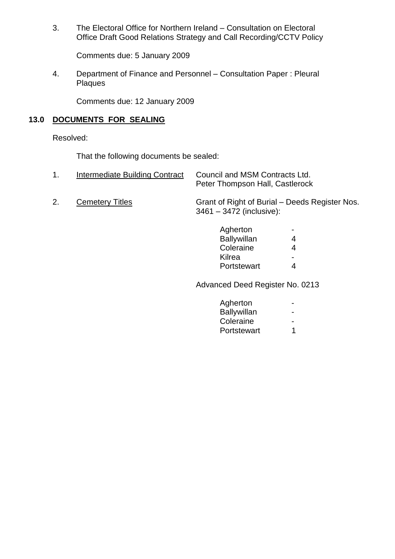3. The Electoral Office for Northern Ireland –Consultation on Electoral Office Draft Good Relations Strategy and Call Recording/CCTV Policy

Comments due: 5 January 2009

4. Department of Finance and Personnel – Consultation Paper: Pleural Plaques

Comments due: 12 January 2009

## **13.0 DOCUMENTS FOR SEALING**

Resolved:

That the following documents be sealed:

- 1. Intermediate Building Contract Council and MSM Contracts Ltd. Peter Thompson Hall, Castlerock
- 

2. Cemetery Titles Grant of Right of Burial – Deeds Register Nos. 3461 –3472 (inclusive):

| Agherton           |   |
|--------------------|---|
| <b>Ballywillan</b> | 4 |
| Coleraine          | 4 |
| Kilrea             |   |
| Portstewart        | Δ |

Advanced Deed Register No. 0213

| Agherton    |  |
|-------------|--|
| Ballywillan |  |
| Coleraine   |  |
| Portstewart |  |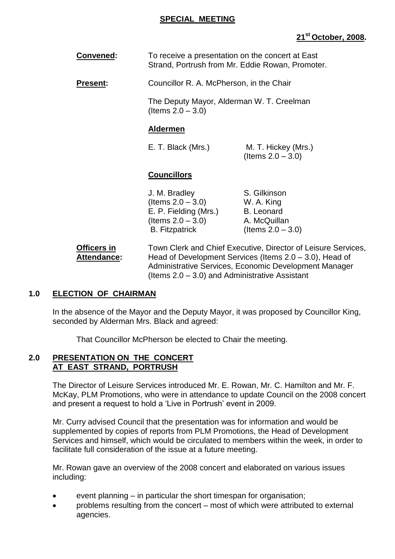#### **SPECIAL MEETING**

# **21st October, 2008.**

| <b>Convened:</b> | To receive a presentation on the concert at East |
|------------------|--------------------------------------------------|
|                  | Strand, Portrush from Mr. Eddie Rowan, Promoter. |

**Present:** Councillor R. A. McPherson, in the Chair

The Deputy Mayor, Alderman W. T. Creelman  $($ ltems  $2.0 - 3.0)$ 

#### **Aldermen**

E. T. Black (Mrs.) M. T. Hickey (Mrs.)  $($ ltems  $2.0 - 3.0)$ 

## **Councillors**

J. M. Bradley S. Gilkinson  $($ ltems  $2.0 - 3.0)$  W. A. King E. P. Fielding (Mrs.) B. Leonard  $($ ltems  $2.0 - 3.0)$  A. McQuillan B. Fitzpatrick  $($  (Items  $2.0 - 3.0)$ )

**Officers in** Town Clerk and Chief Executive, Director of Leisure Services, Attendance: Head of Development Services (Items 2.0 – 3.0), Head of Administrative Services, Economic Development Manager (Items 2.0 –3.0) and Administrative Assistant

#### **1.0 ELECTION OF CHAIRMAN**

In the absence of the Mayor and the Deputy Mayor, it was proposed by Councillor King, seconded by Alderman Mrs. Black and agreed:

That Councillor McPherson be elected to Chair the meeting.

#### **2.0 PRESENTATION ON THE CONCERT AT EAST STRAND, PORTRUSH**

The Director of Leisure Services introduced Mr. E. Rowan, Mr. C. Hamilton and Mr. F. McKay, PLM Promotions, who were in attendance to update Council on the 2008 concert and present a request to hold a 'Live in Portrush' event in 2009.

Mr. Curry advised Council that the presentation was for information and would be supplemented by copies of reports from PLM Promotions, the Head of Development Services and himself, which would be circulated to members within the week, in order to facilitate full consideration of the issue at a future meeting.

Mr. Rowan gave an overview of the 2008 concert and elaborated on various issues including:

- event planning  $-$  in particular the short timespan for organisation;
- problems resulting from the concert most of which were attributed to external agencies.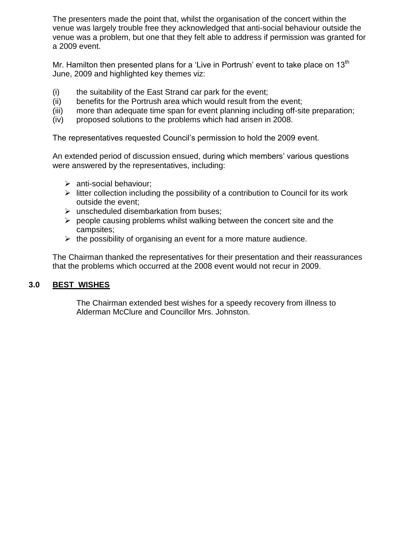The presenters made the point that, whilst the organisation of the concert within the venue was largely trouble free they acknowledged that anti-social behaviour outside the venue was a problem, but one that they felt able to address if permission was granted for a 2009 event.

Mr. Hamilton then presented plans for a 'Live in Portrush' event to take place on 13<sup>th</sup> June, 2009 and highlighted key themes viz:

- (i) the suitability of the East Strand car park for the event;
- (ii) benefits for the Portrush area which would result from the event;
- (iii) more than adequate time span for event planning including off-site preparation;
- (iv) proposed solutions to the problems which had arisen in 2008.

The representatives requested Council's permission to hold the 2009 event.

An extended period of discussion ensued, during which members' various questions were answered by the representatives, including:

- $\triangleright$  anti-social behaviour;
- $\triangleright$  litter collection including the possibility of a contribution to Council for its work outside the event;
- $\triangleright$  unscheduled disembarkation from buses;
- $\triangleright$  people causing problems whilst walking between the concert site and the campsites;
- $\triangleright$  the possibility of organising an event for a more mature audience.

The Chairman thanked the representatives for their presentation and their reassurances that the problems which occurred at the 2008 event would not recur in 2009.

#### **3.0 BEST WISHES**

The Chairman extended best wishes for a speedy recovery from illness to Alderman McClure and Councillor Mrs. Johnston.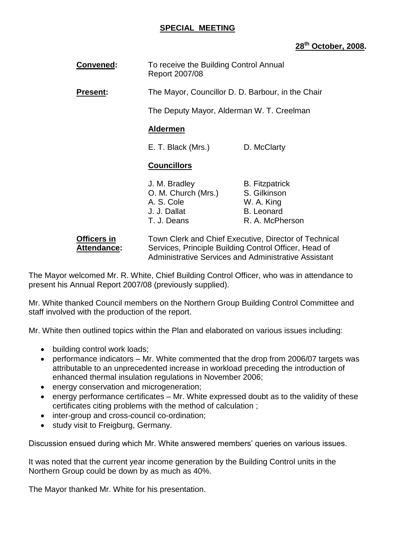#### **SPECIAL MEETING**

# **28th October, 2008.**

| <b>Convened:</b> | To receive the Building Control Annual<br>Report 2007/08 |                                                     |  |
|------------------|----------------------------------------------------------|-----------------------------------------------------|--|
| <b>Present:</b>  |                                                          | The Mayor, Councillor D. D. Barbour, in the Chair   |  |
|                  | The Deputy Mayor, Alderman W. T. Creelman                |                                                     |  |
|                  | <b>Aldermen</b>                                          |                                                     |  |
|                  | E. T. Black (Mrs.)                                       | D. McClarty                                         |  |
|                  | <b>Councillors</b>                                       |                                                     |  |
|                  | J. M. Bradley<br>O. M. Church (Mrs.)<br>A. S. Cole       | <b>B.</b> Fitzpatrick<br>S. Gilkinson<br>W. A. King |  |

| Officers in | Town Clerk and Chief Executive, Director of Technical |
|-------------|-------------------------------------------------------|
| Attendance: | Services, Principle Building Control Officer, Head of |
|             | Administrative Services and Administrative Assistant  |

J. J. Dallat B. Leonard<br>T. J. Deans R. A. McPh

R. A. McPherson

The Mayor welcomed Mr. R. White, Chief Building Control Officer, who was in attendance to present his Annual Report 2007/08 (previously supplied).

Mr. White thanked Council members on the Northern Group Building Control Committee and staff involved with the production of the report.

Mr. White then outlined topics within the Plan and elaborated on various issues including:

- building control work loads;
- performance indicators  $-$  Mr. White commented that the drop from 2006/07 targets was attributable to an unprecedented increase in workload preceding the introduction of enhanced thermal insulation regulations in November 2006;
- energy conservation and microgeneration;
- $\bullet$  energy performance certificates Mr. White expressed doubt as to the validity of these certificates citing problems with the method of calculation ;
- inter-group and cross-council co-ordination;
- study visit to Freigburg, Germany.

Discussion ensued during which Mr. White answered members' queries on various issues.

It was noted that the current year income generation by the Building Control units in the Northern Group could be down by as much as 40%.

The Mayor thanked Mr. White for his presentation.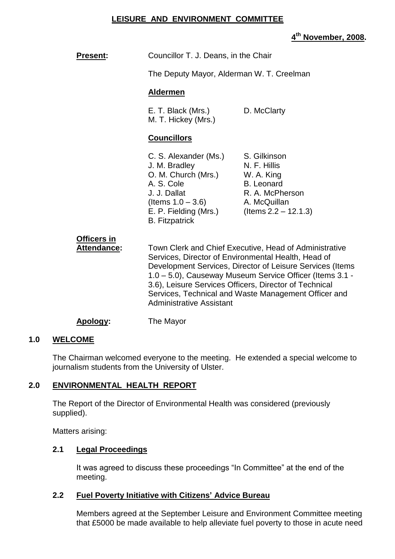#### **LEISURE AND ENVIRONMENT COMMITTEE**

## **4 th November, 2008.**

| <b>Present:</b>                   | Councillor T. J. Deans, in the Chair                                                                                                                                                                                                                                                                                                                                                        |                                                                                                                               |
|-----------------------------------|---------------------------------------------------------------------------------------------------------------------------------------------------------------------------------------------------------------------------------------------------------------------------------------------------------------------------------------------------------------------------------------------|-------------------------------------------------------------------------------------------------------------------------------|
|                                   | The Deputy Mayor, Alderman W. T. Creelman                                                                                                                                                                                                                                                                                                                                                   |                                                                                                                               |
|                                   | <b>Aldermen</b>                                                                                                                                                                                                                                                                                                                                                                             |                                                                                                                               |
|                                   | E. T. Black (Mrs.)<br>M. T. Hickey (Mrs.)                                                                                                                                                                                                                                                                                                                                                   | D. McClarty                                                                                                                   |
|                                   | <b>Councillors</b>                                                                                                                                                                                                                                                                                                                                                                          |                                                                                                                               |
|                                   | C. S. Alexander (Ms.)<br>J. M. Bradley<br>O. M. Church (Mrs.)<br>A. S. Cole<br>J. J. Dallat<br>(Items $1.0 - 3.6$ )<br>E. P. Fielding (Mrs.)<br><b>B.</b> Fitzpatrick                                                                                                                                                                                                                       | S. Gilkinson<br>N. F. Hillis<br>W. A. King<br><b>B.</b> Leonard<br>R. A. McPherson<br>A. McQuillan<br>$($ ltems 2.2 – 12.1.3) |
| <b>Officers in</b><br>Attendance: | Town Clerk and Chief Executive, Head of Administrative<br>Services, Director of Environmental Health, Head of<br>Development Services, Director of Leisure Services (Items<br>1.0 - 5.0), Causeway Museum Service Officer (Items 3.1 -<br>3.6), Leisure Services Officers, Director of Technical<br>Services, Technical and Waste Management Officer and<br><b>Administrative Assistant</b> |                                                                                                                               |
| Apology:                          | The Mayor                                                                                                                                                                                                                                                                                                                                                                                   |                                                                                                                               |

#### **1.0 WELCOME**

The Chairman welcomed everyone to the meeting. He extended a special welcome to journalism students from the University of Ulster.

#### **2.0 ENVIRONMENTAL HEALTH REPORT**

The Report of the Director of Environmental Health was considered (previously supplied).

Matters arising:

#### **2.1 Legal Proceedings**

It was agreed to discuss these proceedings "In Committee" at the end of the meeting.

#### **2.2 Fuel Poverty Initiative with Citizens'Advice Bureau**

Members agreed at the September Leisure and Environment Committee meeting that £5000 be made available to help alleviate fuel poverty to those in acute need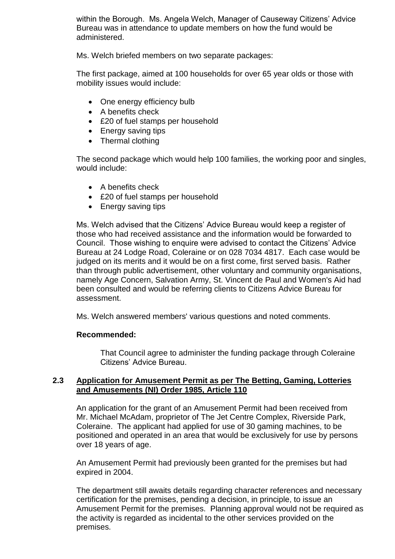within the Borough. Ms. Angela Welch, Manager of Causeway Citizens' Advice Bureau was in attendance to update members on how the fund would be administered.

Ms. Welch briefed members on two separate packages:

The first package, aimed at 100 households for over 65 year olds or those with mobility issues would include:

- One energy efficiency bulb
- A benefits check
- £20 of fuel stamps per household
- Energy saving tips
- Thermal clothing

The second package which would help 100 families, the working poor and singles, would include:

- A benefits check
- £20 of fuel stamps per household
- Energy saving tips

Ms. Welch advised that the Citizens' Advice Bureau would keep a register of those who had received assistance and the information would be forwarded to Council. Those wishing to enquire were advised to contact the Citizens' Advice Bureau at 24 Lodge Road, Coleraine or on 028 7034 4817. Each case would be judged on its merits and it would be on a first come, first served basis. Rather than through public advertisement, other voluntary and community organisations, namely Age Concern, Salvation Army, St. Vincent de Paul and Women's Aid had been consulted and would be referring clients to Citizens Advice Bureau for assessment.

Ms. Welch answered members' various questions and noted comments.

#### **Recommended:**

That Council agree to administer the funding package through Coleraine Citizens' Advice Bureau.

#### **2.3 Application for Amusement Permit as per The Betting, Gaming, Lotteries and Amusements (NI) Order 1985, Article 110**

An application for the grant of an Amusement Permit had been received from Mr. Michael McAdam, proprietor of The Jet Centre Complex, Riverside Park, Coleraine. The applicant had applied for use of 30 gaming machines, to be positioned and operated in an area that would be exclusively for use by persons over 18 years of age.

An Amusement Permit had previously been granted for the premises but had expired in 2004.

The department still awaits details regarding character references and necessary certification for the premises, pending a decision, in principle, to issue an Amusement Permit for the premises. Planning approval would not be required as the activity is regarded as incidental to the other services provided on the premises.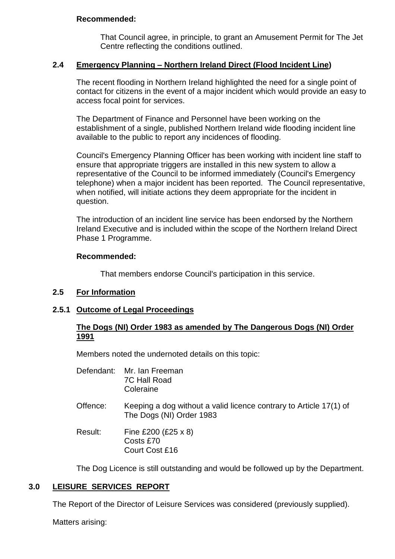#### **Recommended:**

That Council agree, in principle, to grant an Amusement Permit for The Jet Centre reflecting the conditions outlined.

## **2.4 Emergency Planning –Northern Ireland Direct (Flood Incident Line)**

The recent flooding in Northern Ireland highlighted the need for a single point of contact for citizens in the event of a major incident which would provide an easy to access focal point for services.

The Department of Finance and Personnel have been working on the establishment of a single, published Northern Ireland wide flooding incident line available to the public to report any incidences of flooding.

Council's Emergency Planning Officer has been working with incident line staff to ensure that appropriate triggers are installed in this new system to allow a representative of the Council to be informed immediately (Council's Emergency telephone) when a major incident has been reported. The Council representative, when notified, will initiate actions they deem appropriate for the incident in question.

The introduction of an incident line service has been endorsed by the Northern Ireland Executive and is included within the scope of the Northern Ireland Direct Phase 1 Programme.

#### **Recommended:**

That members endorse Council's participation in this service.

# **2.5 For Information**

#### **2.5.1 Outcome of Legal Proceedings**

## **The Dogs (NI) Order 1983 as amended by The Dangerous Dogs (NI) Order 1991**

Members noted the undernoted details on this topic:

| Defendant: Mr. Ian Freeman |
|----------------------------|
| <b>7C Hall Road</b>        |
| Coleraine                  |

Offence: Keeping a dog without a valid licence contrary to Article 17(1) of The Dogs (NI) Order 1983

Result: Fine £200 (£25 x 8) Costs £70 Court Cost £16

The Dog Licence is still outstanding and would be followed up by the Department.

# **3.0 LEISURE SERVICES REPORT**

The Report of the Director of Leisure Services was considered (previously supplied).

Matters arising: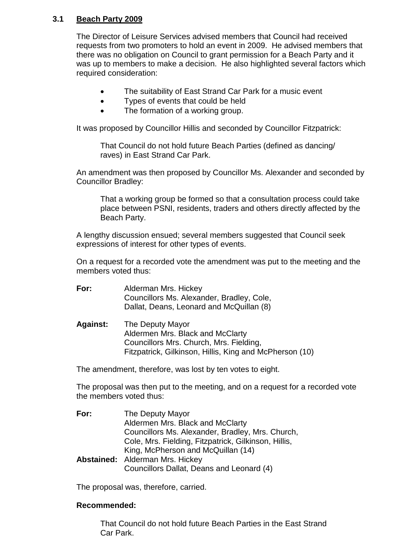## **3.1 Beach Party 2009**

The Director of Leisure Services advised members that Council had received requests from two promoters to hold an event in 2009. He advised members that there was no obligation on Council to grant permission for a Beach Party and it was up to members to make a decision. He also highlighted several factors which required consideration:

- The suitability of East Strand Car Park for a music event
- Types of events that could be held
- The formation of a working group.

It was proposed by Councillor Hillis and seconded by Councillor Fitzpatrick:

That Council do not hold future Beach Parties (defined as dancing/ raves) in East Strand Car Park.

An amendment was then proposed by Councillor Ms. Alexander and seconded by Councillor Bradley:

That a working group be formed so that a consultation process could take place between PSNI, residents, traders and others directly affected by the Beach Party.

A lengthy discussion ensued; several members suggested that Council seek expressions of interest for other types of events.

On a request for a recorded vote the amendment was put to the meeting and the members voted thus:

| For: | Alderman Mrs. Hickey                      |
|------|-------------------------------------------|
|      | Councillors Ms. Alexander, Bradley, Cole, |
|      | Dallat, Deans, Leonard and McQuillan (8)  |

**Against:** The Deputy Mayor Aldermen Mrs. Black and McClarty Councillors Mrs. Church, Mrs. Fielding, Fitzpatrick, Gilkinson, Hillis, King and McPherson (10)

The amendment, therefore, was lost by ten votes to eight.

The proposal was then put to the meeting, and on a request for a recorded vote the members voted thus:

| For: | The Deputy Mayor                                     |
|------|------------------------------------------------------|
|      | Aldermen Mrs. Black and McClarty                     |
|      | Councillors Ms. Alexander, Bradley, Mrs. Church,     |
|      | Cole, Mrs. Fielding, Fitzpatrick, Gilkinson, Hillis, |
|      | King, McPherson and McQuillan (14)                   |
|      | <b>Abstained:</b> Alderman Mrs. Hickey               |
|      | Councillors Dallat, Deans and Leonard (4)            |

The proposal was, therefore, carried.

#### **Recommended:**

That Council do not hold future Beach Parties in the East Strand Car Park.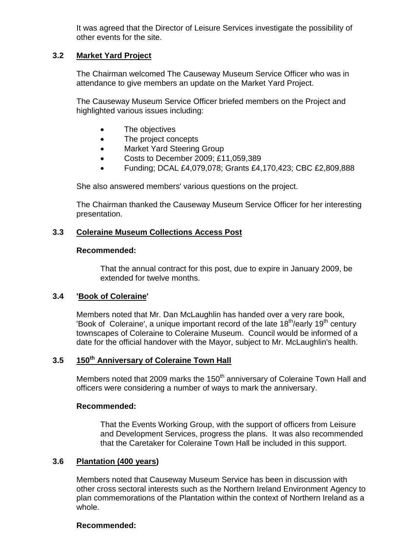It was agreed that the Director of Leisure Services investigate the possibility of other events for the site.

#### **3.2 Market Yard Project**

The Chairman welcomed The Causeway Museum Service Officer who was in attendance to give members an update on the Market Yard Project.

The Causeway Museum Service Officer briefed members on the Project and highlighted various issues including:

- The objectives
- The project concepts
- Market Yard Steering Group
- Costs to December 2009; £11,059,389
- Funding; DCAL £4,079,078; Grants £4,170,423; CBC £2,809,888

She also answered members' various questions on the project.

The Chairman thanked the Causeway Museum Service Officer for her interesting presentation.

#### **3.3 Coleraine Museum Collections Access Post**

#### **Recommended:**

That the annual contract for this post, due to expire in January 2009, be extended for twelve months.

#### **3.4 'Book of Coleraine'**

Members noted that Mr. Dan McLaughlin has handed over a very rare book, 'Book of Coleraine', a unique important record of the late  $18<sup>th</sup>/early$  19<sup>th</sup> century townscapes of Coleraine to Coleraine Museum. Council would be informed of a date for the official handover with the Mayor, subject to Mr. McLaughlin's health.

# **3.5 150th Anniversary of Coleraine Town Hall**

Members noted that 2009 marks the 150<sup>th</sup> anniversary of Coleraine Town Hall and officers were considering a number of ways to mark the anniversary.

#### **Recommended:**

That the Events Working Group, with the support of officers from Leisure and Development Services, progress the plans. It was also recommended that the Caretaker for Coleraine Town Hall be included in this support.

#### **3.6 Plantation (400 years)**

Members noted that Causeway Museum Service has been in discussion with other cross sectoral interests such as the Northern Ireland Environment Agency to plan commemorations of the Plantation within the context of Northern Ireland as a whole.

#### **Recommended:**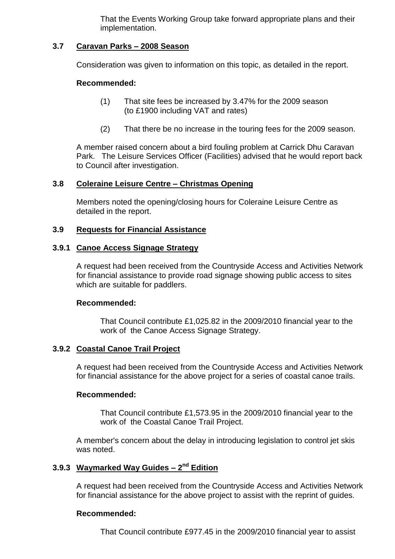That the Events Working Group take forward appropriate plans and their implementation.

#### **3.7 Caravan Parks –2008 Season**

Consideration was given to information on this topic, as detailed in the report.

#### **Recommended:**

- (1) That site fees be increased by 3.47% for the 2009 season (to £1900 including VAT and rates)
- (2) That there be no increase in the touring fees for the 2009 season.

A member raised concern about a bird fouling problem at Carrick Dhu Caravan Park. The Leisure Services Officer (Facilities) advised that he would report back to Council after investigation.

#### **3.8 Coleraine Leisure Centre –Christmas Opening**

Members noted the opening/closing hours for Coleraine Leisure Centre as detailed in the report.

#### **3.9 Requests for Financial Assistance**

#### **3.9.1 Canoe Access Signage Strategy**

A request had been received from the Countryside Access and Activities Network for financial assistance to provide road signage showing public access to sites which are suitable for paddlers.

#### **Recommended:**

That Council contribute £1,025.82 in the 2009/2010 financial year to the work of the Canoe Access Signage Strategy.

#### **3.9.2 Coastal Canoe Trail Project**

A request had been received from the Countryside Access and Activities Network for financial assistance for the above project for a series of coastal canoe trails.

#### **Recommended:**

That Council contribute £1,573.95 in the 2009/2010 financial year to the work of the Coastal Canoe Trail Project.

A member's concern about the delay in introducing legislation to control jet skis was noted.

## **3.9.3 Waymarked Way Guides –2 nd Edition**

A request had been received from the Countryside Access and Activities Network for financial assistance for the above project to assist with the reprint of guides.

#### **Recommended:**

That Council contribute £977.45 in the 2009/2010 financial year to assist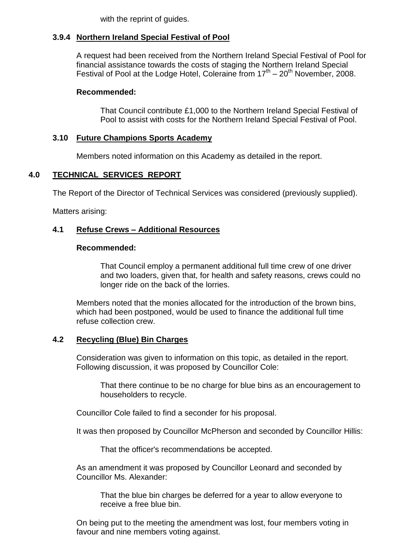with the reprint of guides.

# **3.9.4 Northern Ireland Special Festival of Pool**

A request had been received from the Northern Ireland Special Festival of Pool for financial assistance towards the costs of staging the Northern Ireland Special Festival of Pool at the Lodge Hotel, Coleraine from  $17<sup>th</sup> - 20<sup>th</sup>$  November, 2008.

## **Recommended:**

That Council contribute £1,000 to the Northern Ireland Special Festival of Pool to assist with costs for the Northern Ireland Special Festival of Pool.

## **3.10 Future Champions Sports Academy**

Members noted information on this Academy as detailed in the report.

## **4.0 TECHNICAL SERVICES REPORT**

The Report of the Director of Technical Services was considered (previously supplied).

Matters arising:

## **4.1 Refuse Crews –Additional Resources**

#### **Recommended:**

That Council employ a permanent additional full time crew of one driver and two loaders, given that, for health and safety reasons, crews could no longer ride on the back of the lorries.

Members noted that the monies allocated for the introduction of the brown bins, which had been postponed, would be used to finance the additional full time refuse collection crew.

#### **4.2 Recycling (Blue) Bin Charges**

Consideration was given to information on this topic, as detailed in the report. Following discussion, it was proposed by Councillor Cole:

That there continue to be no charge for blue bins as an encouragement to householders to recycle.

Councillor Cole failed to find a seconder for his proposal.

It was then proposed by Councillor McPherson and seconded by Councillor Hillis:

That the officer's recommendations be accepted.

As an amendment it was proposed by Councillor Leonard and seconded by Councillor Ms. Alexander:

That the blue bin charges be deferred for a year to allow everyone to receive a free blue bin.

On being put to the meeting the amendment was lost, four members voting in favour and nine members voting against.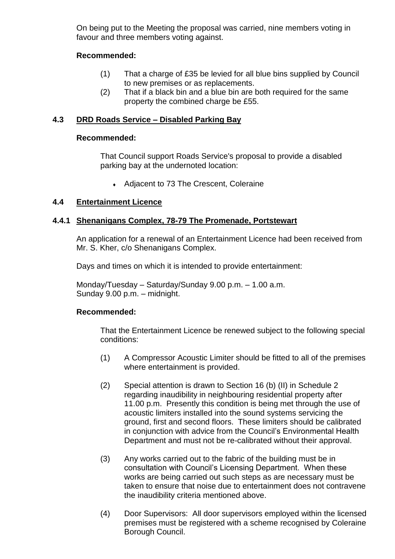On being put to the Meeting the proposal was carried, nine members voting in favour and three members voting against.

#### **Recommended:**

- (1) That a charge of £35 be levied for all blue bins supplied by Council to new premises or as replacements.
- (2) That if a black bin and a blue bin are both required for the same property the combined charge be £55.

#### **4.3 DRD Roads Service –Disabled Parking Bay**

#### **Recommended:**

That Council support Roads Service's proposal to provide a disabled parking bay at the undernoted location:

• Adjacent to 73 The Crescent, Coleraine

## **4.4 Entertainment Licence**

#### **4.4.1 Shenanigans Complex, 78-79 The Promenade, Portstewart**

An application for a renewal of an Entertainment Licence had been received from Mr. S. Kher, c/o Shenanigans Complex.

Days and times on which it is intended to provide entertainment:

Monday/Tuesday – Saturday/Sunday 9.00 p.m. – 1.00 a.m. Sunday 9.00 p.m. – midnight.

#### **Recommended:**

That the Entertainment Licence be renewed subject to the following special conditions:

- (1) A Compressor Acoustic Limiter should be fitted to all of the premises where entertainment is provided.
- (2) Special attention is drawn to Section 16 (b) (II) in Schedule 2 regarding inaudibility in neighbouring residential property after 11.00 p.m. Presently this condition is being met through the use of acoustic limiters installed into the sound systems servicing the ground, first and second floors. These limiters should be calibrated in conjunction with advice from the Council's Environmental Health Department and must not be re-calibrated without their approval.
- (3) Any works carried out to the fabric of the building must be in consultation with Council's Licensing Department. When these works are being carried out such steps as are necessary must be taken to ensure that noise due to entertainment does not contravene the inaudibility criteria mentioned above.
- (4) Door Supervisors: All door supervisors employed within the licensed premises must be registered with a scheme recognised by Coleraine Borough Council.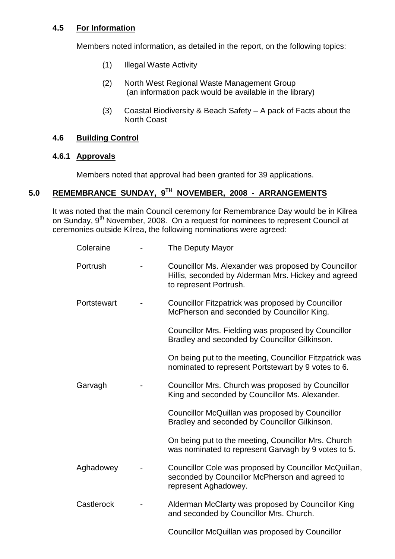## **4.5 For Information**

Members noted information, as detailed in the report, on the following topics:

- (1) Illegal Waste Activity
- (2) North West Regional Waste Management Group (an information pack would be available in the library)
- (3) Coastal Biodiversity & Beach Safety  $A$  pack of Facts about the North Coast

## **4.6 Building Control**

#### **4.6.1 Approvals**

Members noted that approval had been granted for 39 applications.

# **5.0 REMEMBRANCE SUNDAY, 9TH NOVEMBER, 2008 - ARRANGEMENTS**

It was noted that the main Council ceremony for Remembrance Day would be in Kilrea on Sunday, 9<sup>th</sup> November, 2008. On a request for nominees to represent Council at ceremonies outside Kilrea, the following nominations were agreed:

| Coleraine   |  | The Deputy Mayor                                                                                                                     |
|-------------|--|--------------------------------------------------------------------------------------------------------------------------------------|
| Portrush    |  | Councillor Ms. Alexander was proposed by Councillor<br>Hillis, seconded by Alderman Mrs. Hickey and agreed<br>to represent Portrush. |
| Portstewart |  | Councillor Fitzpatrick was proposed by Councillor<br>McPherson and seconded by Councillor King.                                      |
|             |  | Councillor Mrs. Fielding was proposed by Councillor<br>Bradley and seconded by Councillor Gilkinson.                                 |
|             |  | On being put to the meeting, Councillor Fitzpatrick was<br>nominated to represent Portstewart by 9 votes to 6.                       |
| Garvagh     |  | Councillor Mrs. Church was proposed by Councillor<br>King and seconded by Councillor Ms. Alexander.                                  |
|             |  | Councillor McQuillan was proposed by Councillor<br>Bradley and seconded by Councillor Gilkinson.                                     |
|             |  | On being put to the meeting, Councillor Mrs. Church<br>was nominated to represent Garvagh by 9 votes to 5.                           |
| Aghadowey   |  | Councillor Cole was proposed by Councillor McQuillan,<br>seconded by Councillor McPherson and agreed to<br>represent Aghadowey.      |
| Castlerock  |  | Alderman McClarty was proposed by Councillor King<br>and seconded by Councillor Mrs. Church.                                         |
|             |  |                                                                                                                                      |

Councillor McQuillan was proposed by Councillor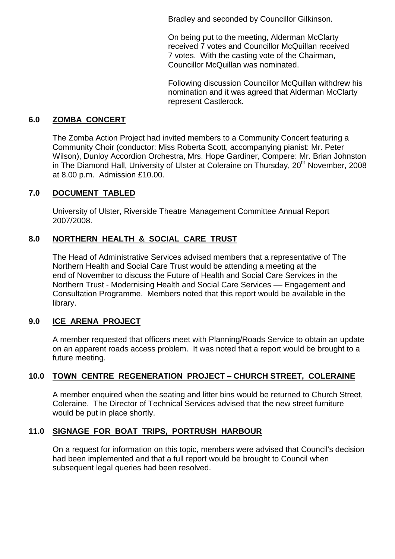Bradley and seconded by Councillor Gilkinson.

On being put to the meeting, Alderman McClarty received 7 votes and Councillor McQuillan received 7 votes. With the casting vote of the Chairman, Councillor McQuillan was nominated.

Following discussion Councillor McQuillan withdrew his nomination and it was agreed that Alderman McClarty represent Castlerock.

## **6.0 ZOMBA CONCERT**

The Zomba Action Project had invited members to a Community Concert featuring a Community Choir (conductor: Miss Roberta Scott, accompanying pianist: Mr. Peter Wilson), Dunloy Accordion Orchestra, Mrs. Hope Gardiner, Compere: Mr. Brian Johnston in The Diamond Hall, University of Ulster at Coleraine on Thursday, 20<sup>th</sup> November. 2008 at 8.00 p.m. Admission £10.00.

# **7.0 DOCUMENT TABLED**

University of Ulster, Riverside Theatre Management Committee Annual Report 2007/2008.

# **8.0 NORTHERN HEALTH & SOCIAL CARE TRUST**

The Head of Administrative Services advised members that a representative of The Northern Health and Social Care Trust would be attending a meeting at the end of November to discuss the Future of Health and Social Care Services in the Northern Trust - Modernising Health and Social Care Services ––Engagement and Consultation Programme. Members noted that this report would be available in the library.

#### **9.0 ICE ARENA PROJECT**

A member requested that officers meet with Planning/Roads Service to obtain an update on an apparent roads access problem. It was noted that a report would be brought to a future meeting.

#### **10.0 TOWN CENTRE REGENERATION PROJECT –CHURCH STREET, COLERAINE**

A member enquired when the seating and litter bins would be returned to Church Street, Coleraine. The Director of Technical Services advised that the new street furniture would be put in place shortly.

#### **11.0 SIGNAGE FOR BOAT TRIPS, PORTRUSH HARBOUR**

On a request for information on this topic, members were advised that Council's decision had been implemented and that a full report would be brought to Council when subsequent legal queries had been resolved.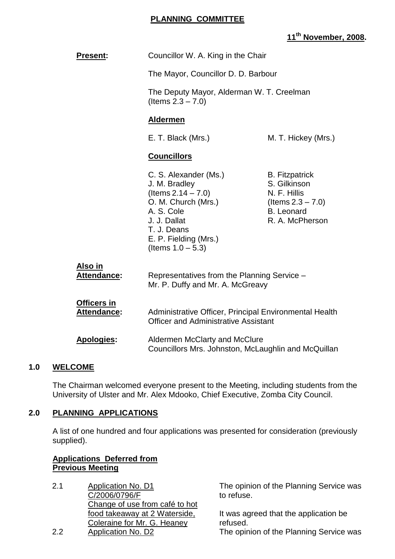#### **PLANNING COMMITTEE**

# **11th November, 2008.**

| <b>Present:</b>            | Councillor W. A. King in the Chair<br>The Mayor, Councillor D. D. Barbour<br>The Deputy Mayor, Alderman W. T. Creelman<br>(Items $2.3 - 7.0$ )                                       |                                                                                                                       |  |
|----------------------------|--------------------------------------------------------------------------------------------------------------------------------------------------------------------------------------|-----------------------------------------------------------------------------------------------------------------------|--|
|                            |                                                                                                                                                                                      |                                                                                                                       |  |
|                            |                                                                                                                                                                                      |                                                                                                                       |  |
|                            | <b>Aldermen</b>                                                                                                                                                                      |                                                                                                                       |  |
|                            | E. T. Black (Mrs.)                                                                                                                                                                   | M. T. Hickey (Mrs.)                                                                                                   |  |
|                            | <b>Councillors</b>                                                                                                                                                                   |                                                                                                                       |  |
|                            | C. S. Alexander (Ms.)<br>J. M. Bradley<br>(Items $2.14 - 7.0$ )<br>O. M. Church (Mrs.)<br>A. S. Cole<br>J. J. Dallat<br>T. J. Deans<br>E. P. Fielding (Mrs.)<br>(Items $1.0 - 5.3$ ) | <b>B.</b> Fitzpatrick<br>S. Gilkinson<br>N. F. Hillis<br>(Items $2.3 - 7.0$ )<br><b>B.</b> Leonard<br>R. A. McPherson |  |
| Also in<br>Attendance:     | Representatives from the Planning Service -<br>Mr. P. Duffy and Mr. A. McGreavy                                                                                                      |                                                                                                                       |  |
| Officers in<br>Attendance: | Administrative Officer, Principal Environmental Health<br><b>Officer and Administrative Assistant</b>                                                                                |                                                                                                                       |  |
| <b>Apologies:</b>          | Aldermen McClarty and McClure<br>Councillors Mrs. Johnston, McLaughlin and McQuillan                                                                                                 |                                                                                                                       |  |

#### **1.0 WELCOME**

The Chairman welcomed everyone present to the Meeting, including students from the University of Ulster and Mr. Alex Mdooko, Chief Executive, Zomba City Council.

## **2.0 PLANNING APPLICATIONS**

A list of one hundred and four applications was presented for consideration (previously supplied).

#### **Applications Deferred from Previous Meeting**

2.1 Application No. D1 C/2006/0796/F Change of use from café to hot food takeaway at 2 Waterside, Coleraine for Mr. G. Heaney 2.2 Application No. D2 The opinion of the Planning Service was

The opinion of the Planning Service was to refuse.

It was agreed that the application be refused.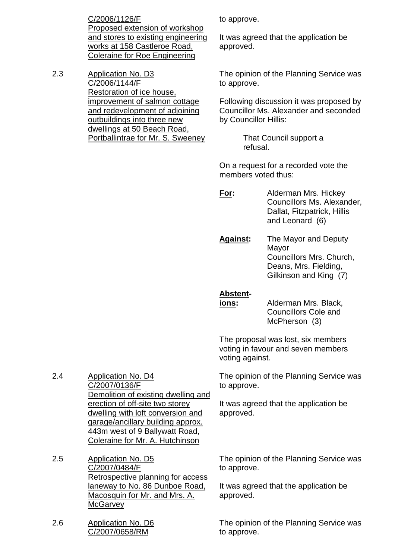C/2006/1126/F Proposed extension of workshop and stores to existing engineering works at 158 Castleroe Road, Coleraine for Roe Engineering

2.3 Application No. D3 C/2006/1144/F Restoration of ice house, improvement of salmon cottage and redevelopment of adjoining outbuildings into three new dwellings at 50 Beach Road, Portballintrae for Mr. S. Sweeney to approve.

It was agreed that the application be approved.

The opinion of the Planning Service was to approve.

Following discussion it was proposed by Councillor Ms. Alexander and seconded by Councillor Hillis:

> That Council support a refusal.

On a request for a recorded vote the members voted thus:

**For:** Alderman Mrs. Hickey Councillors Ms. Alexander, Dallat, Fitzpatrick, Hillis and Leonard (6)

**Against:** The Mayor and Deputy Mayor Councillors Mrs. Church, Deans, Mrs. Fielding, Gilkinson and King (7)

#### **Abstent-**

**ions:** Alderman Mrs. Black, Councillors Cole and McPherson (3)

The proposal was lost, six members voting in favour and seven members voting against.

The opinion of the Planning Service was to approve.

It was agreed that the application be approved.

2.4 Application No. D4 C/2007/0136/F Demolition of existing dwelling and erection of off-site two storey dwelling with loft conversion and garage/ancillary building approx. 443m west of 9 Ballywatt Road, Coleraine for Mr. A. Hutchinson

2.5 Application No. D5 C/2007/0484/F Retrospective planning for access laneway to No. 86 Dunboe Road, Macosquin for Mr. and Mrs. A. **McGarvey** 

2.6 Application No. D6 C/2007/0658/RM

The opinion of the Planning Service was to approve.

It was agreed that the application be approved.

The opinion of the Planning Service was to approve.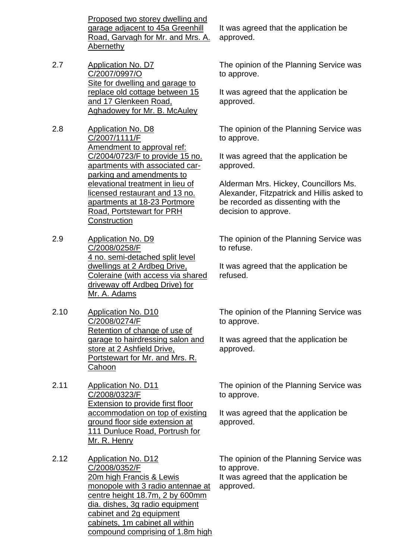Proposed two storey dwelling and garage adjacent to 45a Greenhill Road, Garvagh for Mr. and Mrs. A. Abernethy

- 2.7 Application No. D7 C/2007/0997/O Site for dwelling and garage to replace old cottage between 15 and 17 Glenkeen Road, Aghadowey for Mr. B. McAuley
- 2.8 Application No. D8 C/2007/1111/F Amendment to approval ref: C/2004/0723/F to provide 15 no. apartments with associated carparking and amendments to elevational treatment in lieu of licensed restaurant and 13 no. apartments at 18-23 Portmore Road, Portstewart for PRH **Construction**
- 2.9 Application No. D9 C/2008/0258/F 4 no. semi-detached split level dwellings at 2 Ardbeg Drive, Coleraine (with access via shared driveway off Ardbeg Drive) for Mr. A. Adams
- 2.10 Application No. D10 C/2008/0274/F Retention of change of use of garage to hairdressing salon and store at 2 Ashfield Drive, Portstewart for Mr. and Mrs. R. **Cahoon**
- 2.11 Application No. D11 C/2008/0323/F Extension to provide first floor accommodation on top of existing ground floor side extension at 111 Dunluce Road, Portrush for Mr. R. Henry
- 2.12 Application No. D12 C/2008/0352/F 20m high Francis & Lewis monopole with 3 radio antennae at centre height 18.7m, 2 by 600mm dia. dishes, 3g radio equipment cabinet and 2g equipment cabinets, 1m cabinet all within compound comprising of 1.8m high

It was agreed that the application be approved.

The opinion of the Planning Service was to approve.

It was agreed that the application be approved.

The opinion of the Planning Service was to approve.

It was agreed that the application be approved.

Alderman Mrs. Hickey, Councillors Ms. Alexander, Fitzpatrick and Hillis asked to be recorded as dissenting with the decision to approve.

The opinion of the Planning Service was to refuse.

It was agreed that the application be refused.

The opinion of the Planning Service was to approve.

It was agreed that the application be approved.

The opinion of the Planning Service was to approve.

It was agreed that the application be approved.

The opinion of the Planning Service was to approve.

It was agreed that the application be approved.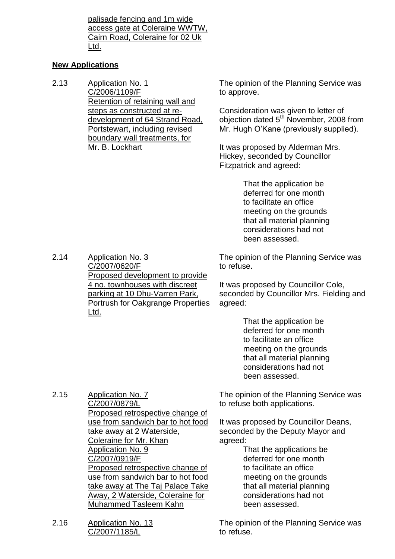palisade fencing and 1m wide access gate at Coleraine WWTW, Cairn Road, Coleraine for 02 Uk Ltd.

#### **New Applications**

2.13 Application No. 1 C/2006/1109/F Retention of retaining wall and steps as constructed at redevelopment of 64 Strand Road, Portstewart, including revised boundary wall treatments, for Mr. B. Lockhart

The opinion of the Planning Service was to approve.

Consideration was given to letter of objection dated 5<sup>th</sup> November, 2008 from Mr. Hugh O'Kane (previously supplied).

It was proposed by Alderman Mrs. Hickey, seconded by Councillor Fitzpatrick and agreed:

> That the application be deferred for one month to facilitate an office meeting on the grounds that all material planning considerations had not been assessed.

2.14 Application No. 3 C/2007/0620/F Proposed development to provide 4 no. townhouses with discreet parking at 10 Dhu-Varren Park, Portrush for Oakgrange Properties Ltd.

The opinion of the Planning Service was to refuse.

It was proposed by Councillor Cole, seconded by Councillor Mrs. Fielding and agreed:

> That the application be deferred for one month to facilitate an office meeting on the grounds that all material planning considerations had not been assessed.

2.15 Application No. 7 C/2007/0879/L Proposed retrospective change of use from sandwich bar to hot food take away at 2 Waterside, Coleraine for Mr. Khan Application No. 9 C/2007/0919/F Proposed retrospective change of use from sandwich bar to hot food take away at The Taj Palace Take Away, 2 Waterside, Coleraine for Muhammed Tasleem Kahn

2.16 Application No. 13 C/2007/1185/L

The opinion of the Planning Service was to refuse both applications.

It was proposed by Councillor Deans, seconded by the Deputy Mayor and agreed:

> That the applications be deferred for one month to facilitate an office meeting on the grounds that all material planning considerations had not been assessed.

The opinion of the Planning Service was to refuse.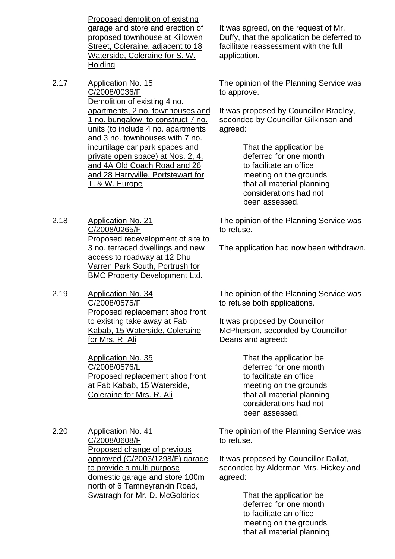Proposed demolition of existing garage and store and erection of proposed townhouse at Killowen Street, Coleraine, adjacent to 18 Waterside, Coleraine for S. W. **Holding** 

- 2.17 Application No. 15 C/2008/0036/F Demolition of existing 4 no. apartments, 2 no. townhouses and 1 no. bungalow, to construct 7 no. units (to include 4 no. apartments and 3 no. townhouses with 7 no. incurtilage car park spaces and private open space) at Nos. 2, 4, and 4A Old Coach Road and 26 and 28 Harryville, Portstewart for T. & W. Europe
- 2.18 Application No. 21 C/2008/0265/F Proposed redevelopment of site to 3 no. terraced dwellings and new access to roadway at 12 Dhu Varren Park South, Portrush for BMC Property Development Ltd.
- 2.19 Application No. 34 C/2008/0575/F Proposed replacement shop front to existing take away at Fab Kabab, 15 Waterside, Coleraine for Mrs. R. Ali

Application No. 35 C/2008/0576/L Proposed replacement shop front at Fab Kabab, 15 Waterside, Coleraine for Mrs. R. Ali

2.20 Application No. 41 C/2008/0608/F Proposed change of previous approved (C/2003/1298/F) garage to provide a multi purpose domestic garage and store 100m north of 6 Tamneyrankin Road, Swatragh for Mr. D. McGoldrick

It was agreed, on the request of Mr. Duffy, that the application be deferred to facilitate reassessment with the full application.

The opinion of the Planning Service was to approve.

It was proposed by Councillor Bradley, seconded by Councillor Gilkinson and agreed:

> That the application be deferred for one month to facilitate an office meeting on the grounds that all material planning considerations had not been assessed.

The opinion of the Planning Service was to refuse.

The application had now been withdrawn.

The opinion of the Planning Service was to refuse both applications.

It was proposed by Councillor McPherson, seconded by Councillor Deans and agreed:

> That the application be deferred for one month to facilitate an office meeting on the grounds that all material planning considerations had not been assessed.

The opinion of the Planning Service was to refuse.

It was proposed by Councillor Dallat, seconded by Alderman Mrs. Hickey and agreed:

> That the application be deferred for one month to facilitate an office meeting on the grounds that all material planning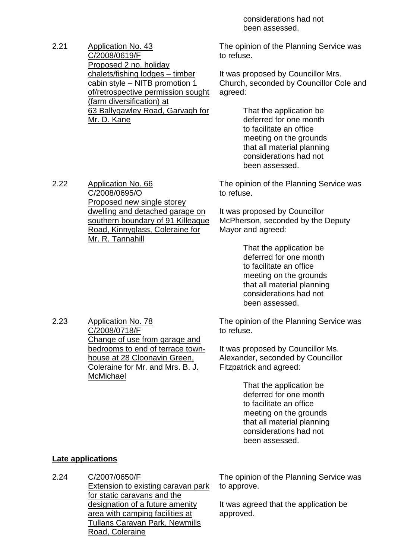considerations had not been assessed.

2.21 Application No. 43 C/2008/0619/F Proposed 2 no. holiday chalets/fishing lodges - timber cabin style - NITB promotion 1 of/retrospective permission sought (farm diversification) at 63 Ballygawley Road, Garvagh for Mr. D. Kane

The opinion of the Planning Service was to refuse.

It was proposed by Councillor Mrs. Church, seconded by Councillor Cole and agreed:

> That the application be deferred for one month to facilitate an office meeting on the grounds that all material planning considerations had not been assessed.

The opinion of the Planning Service was to refuse.

It was proposed by Councillor McPherson, seconded by the Deputy Mayor and agreed:

> That the application be deferred for one month to facilitate an office meeting on the grounds that all material planning considerations had not been assessed.

The opinion of the Planning Service was to refuse.

It was proposed by Councillor Ms. Alexander, seconded by Councillor Fitzpatrick and agreed:

> That the application be deferred for one month to facilitate an office meeting on the grounds that all material planning considerations had not been assessed.

#### **Late applications**

2.24 C/2007/0650/F Extension to existing caravan park for static caravans and the designation of a future amenity area with camping facilities at Tullans Caravan Park, Newmills Road, Coleraine

The opinion of the Planning Service was to approve.

It was agreed that the application be approved.

2.22 Application No. 66 C/2008/0695/O Proposed new single storey dwelling and detached garage on southern boundary of 91 Killeague Road, Kinnyglass, Coleraine for Mr. R. Tannahill

2.23 Application No. 78

C/2008/0718/F Change of use from garage and bedrooms to end of terrace townhouse at 28 Cloonavin Green, Coleraine for Mr. and Mrs. B. J. **McMichael**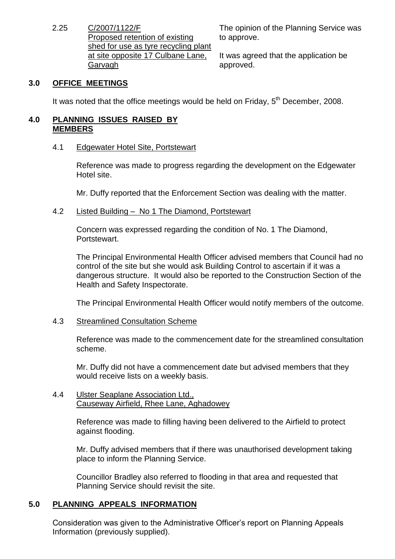2.25 C/2007/1122/F Proposed retention of existing shed for use as tyre recycling plant at site opposite 17 Culbane Lane, Garvagh

The opinion of the Planning Service was to approve.

It was agreed that the application be approved.

# **3.0 OFFICE MEETINGS**

It was noted that the office meetings would be held on Friday,  $5<sup>th</sup>$  December, 2008.

#### **4.0 PLANNING ISSUES RAISED BY MEMBERS**

#### 4.1 Edgewater Hotel Site, Portstewart

Reference was made to progress regarding the development on the Edgewater Hotel site.

Mr. Duffy reported that the Enforcement Section was dealing with the matter.

## 4.2 Listed Building - No 1 The Diamond, Portstewart

Concern was expressed regarding the condition of No. 1 The Diamond, **Portstewart** 

The Principal Environmental Health Officer advised members that Council had no control of the site but she would ask Building Control to ascertain if it was a dangerous structure. It would also be reported to the Construction Section of the Health and Safety Inspectorate.

The Principal Environmental Health Officer would notify members of the outcome.

#### 4.3 Streamlined Consultation Scheme

Reference was made to the commencement date for the streamlined consultation scheme.

Mr. Duffy did not have a commencement date but advised members that they would receive lists on a weekly basis.

#### 4.4 Ulster Seaplane Association Ltd., Causeway Airfield, Rhee Lane, Aghadowey

Reference was made to filling having been delivered to the Airfield to protect against flooding.

Mr. Duffy advised members that if there was unauthorised development taking place to inform the Planning Service.

Councillor Bradley also referred to flooding in that area and requested that Planning Service should revisit the site.

# **5.0 PLANNING APPEALS INFORMATION**

Consideration was given to the Administrative Officer's report on Planning Appeals Information (previously supplied).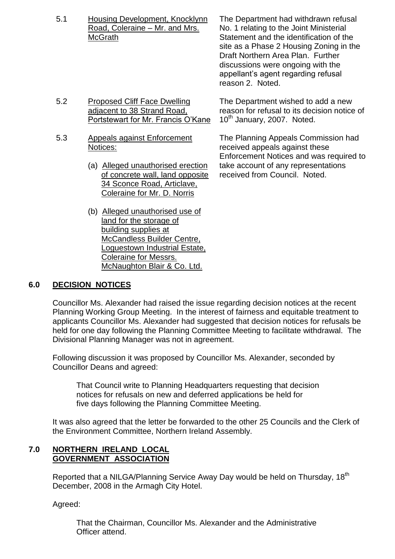5.1 Housing Development, Knocklynn Road, Coleraine – Mr. and Mrs. **McGrath** 

5.2 Proposed Cliff Face Dwelling adjacent to 38 Strand Road, Portstewart for Mr. Francis O'Kane

- 5.3 Appeals against Enforcement Notices:
	- (a) Alleged unauthorised erection of concrete wall, land opposite 34 Sconce Road, Articlave, Coleraine for Mr. D. Norris
	- (b) Alleged unauthorised use of land for the storage of building supplies at McCandless Builder Centre, Loguestown Industrial Estate, Coleraine for Messrs. McNaughton Blair & Co. Ltd.

The Department had withdrawn refusal No. 1 relating to the Joint Ministerial Statement and the identification of the site as a Phase 2 Housing Zoning in the Draft Northern Area Plan. Further discussions were ongoing with the appellant's agent regarding refusal reason 2. Noted.

The Department wished to add a new reason for refusal to its decision notice of 10<sup>th</sup> January, 2007. Noted.

The Planning Appeals Commission had received appeals against these Enforcement Notices and was required to take account of any representations received from Council. Noted.

# **6.0 DECISION NOTICES**

Councillor Ms. Alexander had raised the issue regarding decision notices at the recent Planning Working Group Meeting. In the interest of fairness and equitable treatment to applicants Councillor Ms. Alexander had suggested that decision notices for refusals be held for one day following the Planning Committee Meeting to facilitate withdrawal. The Divisional Planning Manager was not in agreement.

Following discussion it was proposed by Councillor Ms. Alexander, seconded by Councillor Deans and agreed:

That Council write to Planning Headquarters requesting that decision notices for refusals on new and deferred applications be held for five days following the Planning Committee Meeting.

It was also agreed that the letter be forwarded to the other 25 Councils and the Clerk of the Environment Committee, Northern Ireland Assembly.

## **7.0 NORTHERN IRELAND LOCAL GOVERNMENT ASSOCIATION**

Reported that a NILGA/Planning Service Away Day would be held on Thursday, 18<sup>th</sup> December, 2008 in the Armagh City Hotel.

Agreed:

That the Chairman, Councillor Ms. Alexander and the Administrative Officer attend.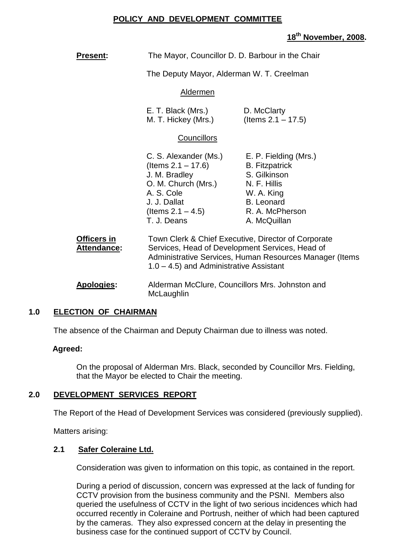#### **POLICY AND DEVELOPMENT COMMITTEE**

# **18th November, 2008.**

**Present:** The Mayor, Councillor D. D. Barbour in the Chair

The Deputy Mayor, Alderman W. T. Creelman

#### Aldermen

| E. T. Black (Mrs.)  | D. McClarty           |
|---------------------|-----------------------|
| M. T. Hickey (Mrs.) | (Items $2.1 - 17.5$ ) |

#### **Councillors**

| C. S. Alexander (Ms.) | E. P. Fielding (Mrs.) |
|-----------------------|-----------------------|
| (Items $2.1 - 17.6$ ) | <b>B.</b> Fitzpatrick |
| J. M. Bradley         | S. Gilkinson          |
| O. M. Church (Mrs.)   | N. F. Hillis          |
| A. S. Cole            | W. A. King            |
| J. J. Dallat          | <b>B.</b> Leonard     |
| (Items $2.1 - 4.5$ )  | R. A. McPherson       |
| T. J. Deans           | A. McQuillan          |

| <b>Officers in</b> | Town Clerk & Chief Executive, Director of Corporate                                                   |
|--------------------|-------------------------------------------------------------------------------------------------------|
| Attendance:        | Services, Head of Development Services, Head of                                                       |
|                    | Administrative Services, Human Resources Manager (Items<br>$1.0 - 4.5$ ) and Administrative Assistant |

**Apologies:** Alderman McClure, Councillors Mrs. Johnston and **McLaughlin** 

#### **1.0 ELECTION OF CHAIRMAN**

The absence of the Chairman and Deputy Chairman due to illness was noted.

#### **Agreed:**

On the proposal of Alderman Mrs. Black, seconded by Councillor Mrs. Fielding, that the Mayor be elected to Chair the meeting.

#### **2.0 DEVELOPMENT SERVICES REPORT**

The Report of the Head of Development Services was considered (previously supplied).

Matters arising:

#### **2.1 Safer Coleraine Ltd.**

Consideration was given to information on this topic, as contained in the report.

During a period of discussion, concern was expressed at the lack of funding for CCTV provision from the business community and the PSNI. Members also queried the usefulness of CCTV in the light of two serious incidences which had occurred recently in Coleraine and Portrush, neither of which had been captured by the cameras. They also expressed concern at the delay in presenting the business case for the continued support of CCTV by Council.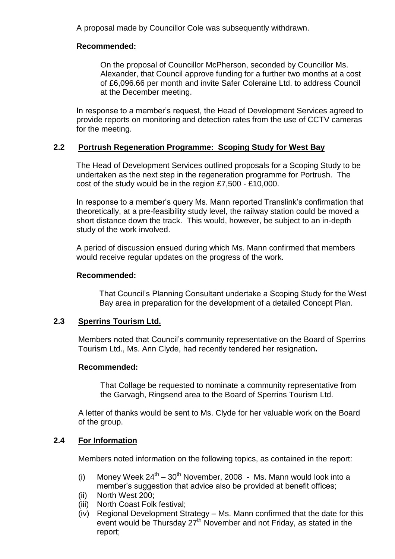A proposal made by Councillor Cole was subsequently withdrawn.

## **Recommended:**

On the proposal of Councillor McPherson, seconded by Councillor Ms. Alexander, that Council approve funding for a further two months at a cost of £6,096.66 per month and invite Safer Coleraine Ltd. to address Council at the December meeting.

In response to a member's request, the Head of Development Services agreed to provide reports on monitoring and detection rates from the use of CCTV cameras for the meeting.

## **2.2 Portrush Regeneration Programme: Scoping Study for West Bay**

The Head of Development Services outlined proposals for a Scoping Study to be undertaken as the next step in the regeneration programme for Portrush. The cost of the study would be in the region £7,500 - £10,000.

In response to a member's query Ms. Mann reported Translink's confirmation that theoretically, at a pre-feasibility study level, the railway station could be moved a short distance down the track. This would, however, be subject to an in-depth study of the work involved.

A period of discussion ensued during which Ms. Mann confirmed that members would receive regular updates on the progress of the work.

#### **Recommended:**

That Council's Planning Consultant undertake a Scoping Study for the West Bay area in preparation for the development of a detailed Concept Plan.

#### **2.3 Sperrins Tourism Ltd.**

Members noted that Council's community representative on the Board of Sperrins Tourism Ltd., Ms. Ann Clyde, had recently tendered her resignation**.**

#### **Recommended:**

That Collage be requested to nominate a community representative from the Garvagh, Ringsend area to the Board of Sperrins Tourism Ltd.

A letter of thanks would be sent to Ms. Clyde for her valuable work on the Board of the group.

#### **2.4 For Information**

Members noted information on the following topics, as contained in the report:

- (i) Money Week  $24^{th} 30^{th}$  November, 2008 Ms. Mann would look into a member's suggestion that advice also be provided at benefit offices;
- (ii) North West 200;
- (iii) North Coast Folk festival;
- (iv) Regional Development Strategy Ms. Mann confirmed that the date for this event would be Thursday 27<sup>th</sup> November and not Friday, as stated in the report;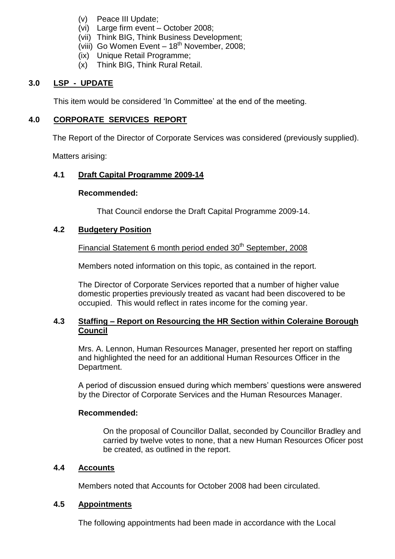- (v) Peace III Update;
- (vi) Large firm event October 2008;
- (vii) Think BIG, Think Business Development;
- (viii) Go Women Event  $-18<sup>th</sup>$  November, 2008;
- (ix) Unique Retail Programme;
- (x) Think BIG, Think Rural Retail.

## **3.0 LSP - UPDATE**

This item would be considered 'In Committee' at the end of the meeting.

#### **4.0 CORPORATE SERVICES REPORT**

The Report of the Director of Corporate Services was considered (previously supplied).

Matters arising:

## **4.1 Draft Capital Programme 2009-14**

#### **Recommended:**

That Council endorse the Draft Capital Programme 2009-14.

#### **4.2 Budgetery Position**

# Financial Statement 6 month period ended 30<sup>th</sup> September, 2008

Members noted information on this topic, as contained in the report.

The Director of Corporate Services reported that a number of higher value domestic properties previously treated as vacant had been discovered to be occupied. This would reflect in rates income for the coming year.

## **4.3 Staffing –Report on Resourcing the HR Section within Coleraine Borough Council**

Mrs. A. Lennon, Human Resources Manager, presented her report on staffing and highlighted the need for an additional Human Resources Officer in the Department.

A period of discussion ensued during which members' questions were answered by the Director of Corporate Services and the Human Resources Manager.

#### **Recommended:**

On the proposal of Councillor Dallat, seconded by Councillor Bradley and carried by twelve votes to none, that a new Human Resources Oficer post be created, as outlined in the report.

#### **4.4 Accounts**

Members noted that Accounts for October 2008 had been circulated.

#### **4.5 Appointments**

The following appointments had been made in accordance with the Local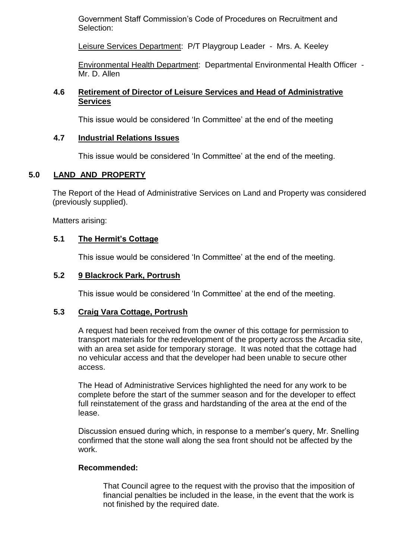Government Staff Commission's Code of Procedures on Recruitment and Selection:

Leisure Services Department: P/T Playgroup Leader - Mrs. A. Keeley

Environmental Health Department: Departmental Environmental Health Officer - Mr. D. Allen

#### **4.6 Retirement of Director of Leisure Services and Head of Administrative Services**

This issue would be considered 'In Committee' at the end of the meeting

#### **4.7 Industrial Relations Issues**

This issue would be considered 'In Committee' at the end of the meeting.

## **5.0 LAND AND PROPERTY**

The Report of the Head of Administrative Services on Land and Property was considered (previously supplied).

Matters arising:

## **5.1 The Hermit's Cottage**

This issue would be considered 'In Committee' at the end of the meeting.

#### **5.2 9 Blackrock Park, Portrush**

This issue would be considered 'In Committee' at the end of the meeting.

#### **5.3 Craig Vara Cottage, Portrush**

A request had been received from the owner of this cottage for permission to transport materials for the redevelopment of the property across the Arcadia site, with an area set aside for temporary storage. It was noted that the cottage had no vehicular access and that the developer had been unable to secure other access.

The Head of Administrative Services highlighted the need for any work to be complete before the start of the summer season and for the developer to effect full reinstatement of the grass and hardstanding of the area at the end of the lease.

Discussion ensued during which, in response to a member's query, Mr. Snelling confirmed that the stone wall along the sea front should not be affected by the work.

#### **Recommended:**

That Council agree to the request with the proviso that the imposition of financial penalties be included in the lease, in the event that the work is not finished by the required date.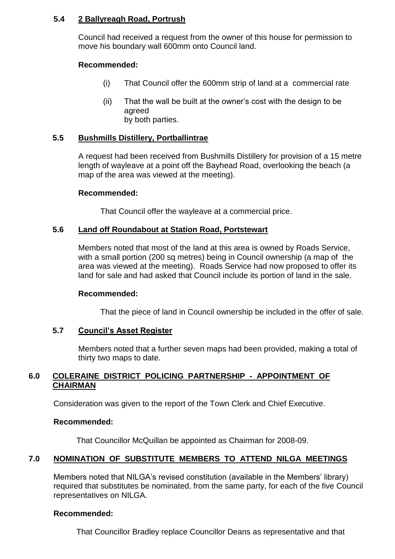## **5.4 2 Ballyreagh Road, Portrush**

Council had received a request from the owner of this house for permission to move his boundary wall 600mm onto Council land.

## **Recommended:**

- (i) That Council offer the 600mm strip of land at a commercial rate
- (ii) That the wall be built at the owner's cost with the design to be agreed by both parties.

## **5.5 Bushmills Distillery, Portballintrae**

A request had been received from Bushmills Distillery for provision of a 15 metre length of wayleave at a point off the Bayhead Road, overlooking the beach (a map of the area was viewed at the meeting).

#### **Recommended:**

That Council offer the wayleave at a commercial price.

#### **5.6 Land off Roundabout at Station Road, Portstewart**

Members noted that most of the land at this area is owned by Roads Service, with a small portion (200 sq metres) being in Council ownership (a map of the area was viewed at the meeting). Roads Service had now proposed to offer its land for sale and had asked that Council include its portion of land in the sale.

#### **Recommended:**

That the piece of land in Council ownership be included in the offer of sale.

#### **5.7 Council'sAssetRegister**

Members noted that a further seven maps had been provided, making a total of thirty two maps to date.

#### **6.0 COLERAINE DISTRICT POLICING PARTNERSHIP - APPOINTMENT OF CHAIRMAN**

Consideration was given to the report of the Town Clerk and Chief Executive.

#### **Recommended:**

That Councillor McQuillan be appointed as Chairman for 2008-09.

# **7.0 NOMINATION OF SUBSTITUTE MEMBERS TO ATTEND NILGA MEETINGS**

Members noted that NILGA's revised constitution (available in the Members' library) required that substitutes be nominated, from the same party, for each of the five Council representatives on NILGA.

#### **Recommended:**

That Councillor Bradley replace Councillor Deans as representative and that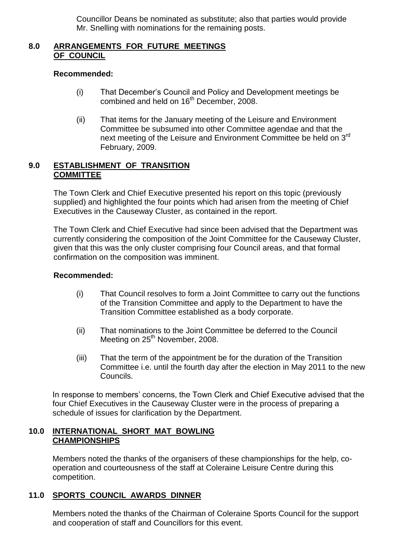Councillor Deans be nominated as substitute; also that parties would provide Mr. Snelling with nominations for the remaining posts.

## **8.0 ARRANGEMENTS FOR FUTURE MEETINGS OF COUNCIL**

#### **Recommended:**

- (i) That December's Council and Policy and Development meetings be combined and held on 16th December, 2008.
- (ii) That items for the January meeting of the Leisure and Environment Committee be subsumed into other Committee agendae and that the next meeting of the Leisure and Environment Committee be held on 3rd February, 2009.

#### **9.0 ESTABLISHMENT OF TRANSITION COMMITTEE**

The Town Clerk and Chief Executive presented his report on this topic (previously supplied) and highlighted the four points which had arisen from the meeting of Chief Executives in the Causeway Cluster, as contained in the report.

The Town Clerk and Chief Executive had since been advised that the Department was currently considering the composition of the Joint Committee for the Causeway Cluster, given that this was the only cluster comprising four Council areas, and that formal confirmation on the composition was imminent.

## **Recommended:**

- (i) That Council resolves to form a Joint Committee to carry out the functions of the Transition Committee and apply to the Department to have the Transition Committee established as a body corporate.
- (ii) That nominations to the Joint Committee be deferred to the Council Meeting on 25<sup>th</sup> November, 2008.
- (iii) That the term of the appointment be for the duration of the Transition Committee i.e. until the fourth day after the election in May 2011 to the new Councils.

In response to members' concerns, the Town Clerk and Chief Executive advised that the four Chief Executives in the Causeway Cluster were in the process of preparing a schedule of issues for clarification by the Department.

## **10.0 INTERNATIONAL SHORT MAT BOWLING CHAMPIONSHIPS**

Members noted the thanks of the organisers of these championships for the help, cooperation and courteousness of the staff at Coleraine Leisure Centre during this competition.

# **11.0 SPORTS COUNCIL AWARDS DINNER**

Members noted the thanks of the Chairman of Coleraine Sports Council for the support and cooperation of staff and Councillors for this event.